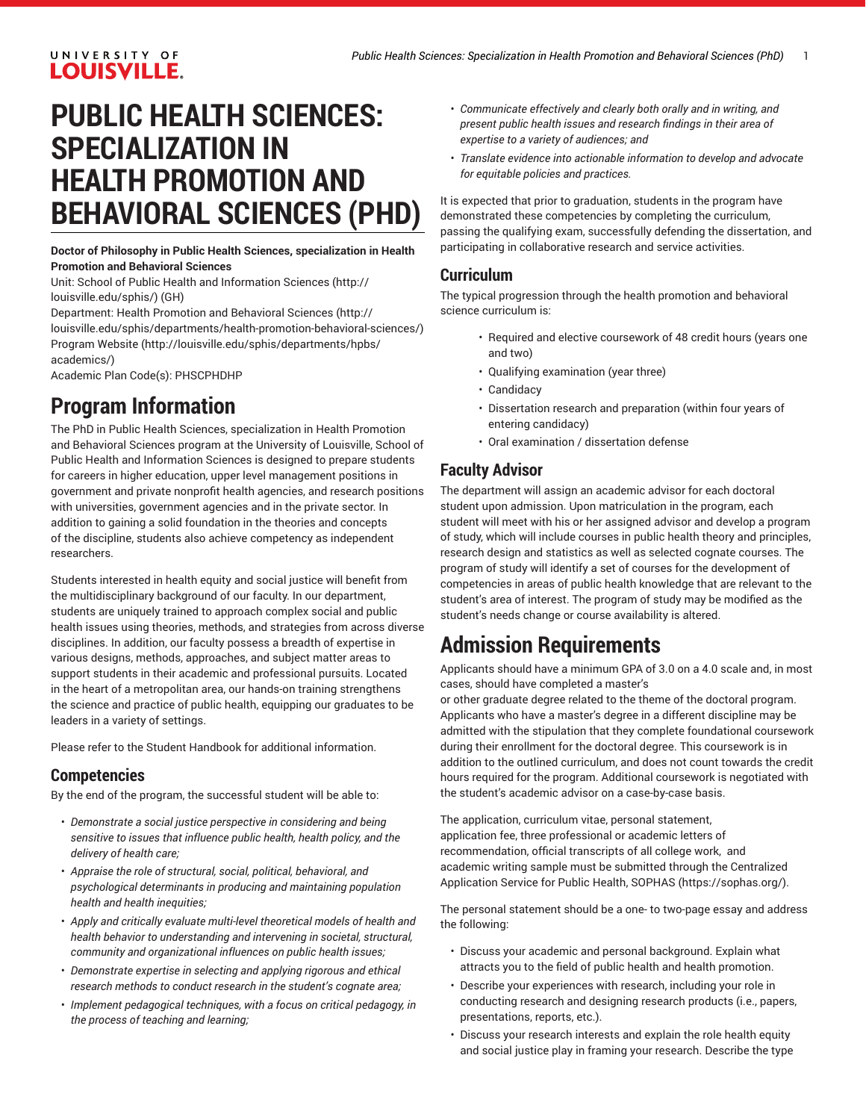# UNIVERSITY OF **LOUISVILLE.**

# **PUBLIC HEALTH SCIENCES: SPECIALIZATION IN HEALTH PROMOTION AND BEHAVIORAL SCIENCES (PHD)**

### **Doctor of Philosophy in Public Health Sciences, specialization in Health Promotion and Behavioral Sciences**

Unit: [School of Public Health and Information Sciences](http://louisville.edu/sphis/) ([http://](http://louisville.edu/sphis/) [louisville.edu/sphis/](http://louisville.edu/sphis/)) (GH)

Department: Health Promotion and [Behavioral](http://louisville.edu/sphis/departments/health-promotion-behavioral-sciences/) Sciences [\(http://](http://louisville.edu/sphis/departments/health-promotion-behavioral-sciences/) [louisville.edu/sphis/departments/health-promotion-behavioral-sciences/](http://louisville.edu/sphis/departments/health-promotion-behavioral-sciences/)) [Program](http://louisville.edu/sphis/departments/hpbs/academics/) Website [\(http://louisville.edu/sphis/departments/hpbs/](http://louisville.edu/sphis/departments/hpbs/academics/) [academics/\)](http://louisville.edu/sphis/departments/hpbs/academics/)

Academic Plan Code(s): PHSCPHDHP

# **Program Information**

The PhD in Public Health Sciences, specialization in Health Promotion and Behavioral Sciences program at the University of Louisville, School of Public Health and Information Sciences is designed to prepare students for careers in higher education, upper level management positions in government and private nonprofit health agencies, and research positions with universities, government agencies and in the private sector. In addition to gaining a solid foundation in the theories and concepts of the discipline, students also achieve competency as independent researchers.

Students interested in health equity and social justice will benefit from the multidisciplinary background of our faculty. In our department, students are uniquely trained to approach complex social and public health issues using theories, methods, and strategies from across diverse disciplines. In addition, our faculty possess a breadth of expertise in various designs, methods, approaches, and subject matter areas to support students in their academic and professional pursuits. Located in the heart of a metropolitan area, our hands-on training strengthens the science and practice of public health, equipping our graduates to be leaders in a variety of settings.

Please refer to the Student Handbook for additional information.

### **Competencies**

By the end of the program, the successful student will be able to:

- *Demonstrate a social justice perspective in considering and being sensitive to issues that influence public health, health policy, and the delivery of health care;*
- *Appraise the role of structural, social, political, behavioral, and psychological determinants in producing and maintaining population health and health inequities;*
- *Apply and critically evaluate multi-level theoretical models of health and health behavior to understanding and intervening in societal, structural, community and organizational influences on public health issues;*
- *Demonstrate expertise in selecting and applying rigorous and ethical research methods to conduct research in the student's cognate area;*
- *Implement pedagogical techniques, with a focus on critical pedagogy, in the process of teaching and learning;*
- *Communicate effectively and clearly both orally and in writing, and present public health issues and research findings in their area of expertise to a variety of audiences; and*
- *Translate evidence into actionable information to develop and advocate for equitable policies and practices.*

It is expected that prior to graduation, students in the program have demonstrated these competencies by completing the curriculum, passing the qualifying exam, successfully defending the dissertation, and participating in collaborative research and service activities.

### **Curriculum**

The typical progression through the health promotion and behavioral science curriculum is:

- Required and elective coursework of 48 credit hours (years one and two)
- Qualifying examination (year three)
- Candidacy
- Dissertation research and preparation (within four years of entering candidacy)
- Oral examination / dissertation defense

### **Faculty Advisor**

The department will assign an academic advisor for each doctoral student upon admission. Upon matriculation in the program, each student will meet with his or her assigned advisor and develop a program of study, which will include courses in public health theory and principles, research design and statistics as well as selected cognate courses. The program of study will identify a set of courses for the development of competencies in areas of public health knowledge that are relevant to the student's area of interest. The program of study may be modified as the student's needs change or course availability is altered.

# **Admission Requirements**

Applicants should have a minimum GPA of 3.0 on a 4.0 scale and, in most cases, should have completed a master's

or other graduate degree related to the theme of the doctoral program. Applicants who have a master's degree in a different discipline may be admitted with the stipulation that they complete foundational coursework during their enrollment for the doctoral degree. This coursework is in addition to the outlined curriculum, and does not count towards the credit hours required for the program. Additional coursework is negotiated with the student's academic advisor on a case-by-case basis.

The application, curriculum vitae, personal statement, application fee, three professional or academic letters of recommendation, official transcripts of all college work, and academic writing sample must be submitted through the Centralized Application Service for Public Health, [SOPHAS \(https://sophas.org/](https://sophas.org/)).

The personal statement should be a one- to two-page essay and address the following:

- Discuss your academic and personal background. Explain what attracts you to the field of public health and health promotion.
- Describe your experiences with research, including your role in conducting research and designing research products (i.e., papers, presentations, reports, etc.).
- Discuss your research interests and explain the role health equity and social justice play in framing your research. Describe the type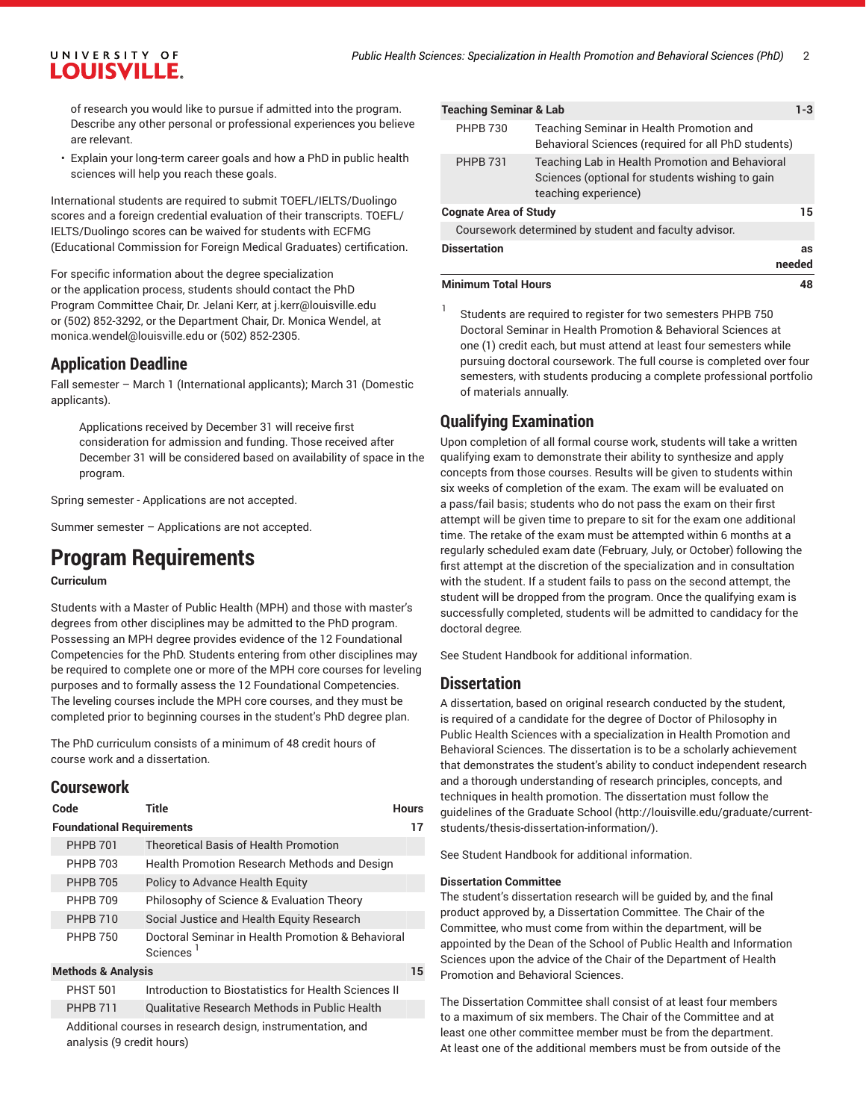# UNIVERSITY OF **LOUISVILLE.**

of research you would like to pursue if admitted into the program. Describe any other personal or professional experiences you believe are relevant.

• Explain your long-term career goals and how a PhD in public health sciences will help you reach these goals.

International students are required to submit TOEFL/IELTS/Duolingo scores and a foreign credential evaluation of their transcripts. TOEFL/ IELTS/Duolingo scores can be waived for students with ECFMG (Educational Commission for Foreign Medical Graduates) certification.

For specific information about the degree specialization or the application process, students should contact the PhD Program Committee Chair, Dr. Jelani Kerr, at [j.kerr@louisville.edu](mailto:j.kerr@louisville.edu) or (502) 852-3292, or the Department Chair, Dr. Monica Wendel, at monica.wendel@louisville.edu or (502) 852-2305.

# **Application Deadline**

Fall semester – March 1 (International applicants); March 31 (Domestic applicants).

Applications received by December 31 will receive first consideration for admission and funding. Those received after December 31 will be considered based on availability of space in the program.

Spring semester - Applications are not accepted.

Summer semester – Applications are not accepted.

# **Program Requirements**

#### **Curriculum**

Students with a Master of Public Health (MPH) and those with master's degrees from other disciplines may be admitted to the PhD program. Possessing an MPH degree provides evidence of the 12 Foundational Competencies for the PhD. Students entering from other disciplines may be required to complete one or more of the MPH core courses for leveling purposes and to formally assess the 12 Foundational Competencies. The leveling courses include the MPH core courses, and they must be completed prior to beginning courses in the student's PhD degree plan.

The PhD curriculum consists of a minimum of 48 credit hours of course work and a dissertation.

## **Coursework**

| Code                             | Title                                                         | <b>Hours</b> |
|----------------------------------|---------------------------------------------------------------|--------------|
| <b>Foundational Requirements</b> |                                                               |              |
| <b>PHPB 701</b>                  | <b>Theoretical Basis of Health Promotion</b>                  |              |
| <b>PHPR 703</b>                  | Health Promotion Research Methods and Design                  |              |
| <b>PHPB 705</b>                  | Policy to Advance Health Equity                               |              |
| <b>PHPB 709</b>                  | Philosophy of Science & Evaluation Theory                     |              |
| <b>PHPB 710</b>                  | Social Justice and Health Equity Research                     |              |
| <b>PHPB 750</b>                  | Doctoral Seminar in Health Promotion & Behavioral<br>Sciences |              |
| <b>Methods &amp; Analysis</b>    |                                                               | 15           |
| <b>PHST 501</b>                  | Introduction to Biostatistics for Health Sciences II          |              |
| <b>PHPB 711</b>                  | Qualitative Research Methods in Public Health                 |              |

Additional courses in research design, instrumentation, and analysis (9 credit hours)

| <b>Teaching Seminar &amp; Lab</b> |                                                                                                                            | $1 - 3$      |
|-----------------------------------|----------------------------------------------------------------------------------------------------------------------------|--------------|
| <b>PHPB 730</b>                   | Teaching Seminar in Health Promotion and<br>Behavioral Sciences (required for all PhD students)                            |              |
| <b>PHPB 731</b>                   | Teaching Lab in Health Promotion and Behavioral<br>Sciences (optional for students wishing to gain<br>teaching experience) |              |
| <b>Cognate Area of Study</b>      |                                                                                                                            | 15           |
|                                   | Coursework determined by student and faculty advisor.                                                                      |              |
| <b>Dissertation</b>               |                                                                                                                            | as<br>needed |
| <b>Minimum Total Hours</b>        |                                                                                                                            | 48           |

1 Students are required to register for two semesters PHPB 750 Doctoral Seminar in Health Promotion & Behavioral Sciences at one (1) credit each, but must attend at least four semesters while pursuing doctoral coursework. The full course is completed over four semesters, with students producing a complete professional portfolio of materials annually.

# **Qualifying Examination**

Upon completion of all formal course work, students will take a written qualifying exam to demonstrate their ability to synthesize and apply concepts from those courses. Results will be given to students within six weeks of completion of the exam. The exam will be evaluated on a pass/fail basis; students who do not pass the exam on their first attempt will be given time to prepare to sit for the exam one additional time. The retake of the exam must be attempted within 6 months at a regularly scheduled exam date (February, July, or October) following the first attempt at the discretion of the specialization and in consultation with the student. If a student fails to pass on the second attempt, the student will be dropped from the program. Once the qualifying exam is successfully completed, students will be admitted to candidacy for the doctoral degree*.*

See Student Handbook for additional information.

### **Dissertation**

A dissertation, based on original research conducted by the student, is required of a candidate for the degree of Doctor of Philosophy in Public Health Sciences with a specialization in Health Promotion and Behavioral Sciences. The dissertation is to be a scholarly achievement that demonstrates the student's ability to conduct independent research and a thorough understanding of research principles, concepts, and techniques in health promotion. The dissertation must follow the [guidelines of the Graduate School](http://louisville.edu/graduate/current-students/thesis-dissertation-information/) ([http://louisville.edu/graduate/current](http://louisville.edu/graduate/current-students/thesis-dissertation-information/)[students/thesis-dissertation-information/\)](http://louisville.edu/graduate/current-students/thesis-dissertation-information/).

See Student Handbook for additional information.

#### **Dissertation Committee**

The student's dissertation research will be guided by, and the final product approved by, a Dissertation Committee. The Chair of the Committee, who must come from within the department, will be appointed by the Dean of the School of Public Health and Information Sciences upon the advice of the Chair of the Department of Health Promotion and Behavioral Sciences.

The Dissertation Committee shall consist of at least four members to a maximum of six members. The Chair of the Committee and at least one other committee member must be from the department. At least one of the additional members must be from outside of the